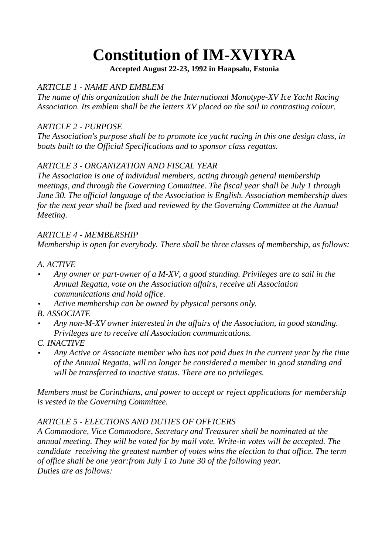# **Constitution of IM-XVIYRA**

**Accepted August 22-23, 1992 in Haapsalu, Estonia**

## *ARTICLE 1 - NAME AND EMBLEM*

*The name of this organization shall be the International Monotype-XV Ice Yacht Racing Association. Its emblem shall be the letters XV placed on the sail in contrasting colour.*

#### *ARTICLE 2 - PURPOSE*

*The Association's purpose shall be to promote ice yacht racing in this one design class, in boats built to the Official Specifications and to sponsor class regattas.*

# *ARTICLE 3 - ORGANIZATION AND FISCAL YEAR*

*The Association is one of individual members, acting through general membership meetings, and through the Governing Committee. The fiscal year shall be July 1 through June 30. The official language of the Association is English. Association membership dues for the next year shall be fixed and reviewed by the Governing Committee at the Annual Meeting.*

### *ARTICLE 4 - MEMBERSHIP*

*Membership is open for everybody. There shall be three classes of membership, as follows:*

### *A. ACTIVE*

- *Any owner or part-owner of a M-XV, a good standing. Privileges are to sail in the Annual Regatta, vote on the Association affairs, receive all Association communications and hold office.*
- *Active membership can be owned by physical persons only.*

*B. ASSOCIATE*

 *Any non-M-XV owner interested in the affairs of the Association, in good standing. Privileges are to receive all Association communications.*

#### *C. INACTIVE*

 *Any Active or Associate member who has not paid dues in the current year by the time of the Annual Regatta, will no longer be considered a member in good standing and will be transferred to inactive status. There are no privileges.*

*Members must be Corinthians, and power to accept or reject applications for membership is vested in the Governing Committee.*

# *ARTICLE 5 - ELECTIONS AND DUTIES OF OFFICERS*

*A Commodore, Vice Commodore, Secretary and Treasurer shall be nominated at the annual meeting. They will be voted for by mail vote. Write-in votes will be accepted. The candidate receiving the greatest number of votes wins the election to that office. The term of office shall be one year:from July 1 to June 30 of the following year. Duties are as follows:*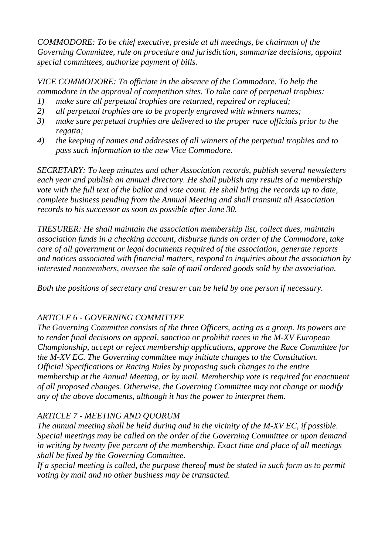*COMMODORE: To be chief executive, preside at all meetings, be chairman of the Governing Committee, rule on procedure and jurisdiction, summarize decisions, appoint special committees, authorize payment of bills.*

*VICE COMMODORE: To officiate in the absence of the Commodore. To help the commodore in the approval of competition sites. To take care of perpetual trophies:*

- *1) make sure all perpetual trophies are returned, repaired or replaced;*
- *2) all perpetual trophies are to be properly engraved with winners names;*
- *3) make sure perpetual trophies are delivered to the proper race officials prior to the regatta;*
- *4) the keeping of names and addresses of all winners of the perpetual trophies and to pass such information to the new Vice Commodore.*

*SECRETARY: To keep minutes and other Association records, publish several newsletters each year and publish an annual directory. He shall publish any results of a membership vote with the full text of the ballot and vote count. He shall bring the records up to date, complete business pending from the Annual Meeting and shall transmit all Association records to his successor as soon as possible after June 30.*

*TRESURER: He shall maintain the association membership list, collect dues, maintain association funds in a checking account, disburse funds on order of the Commodore, take care of all government or legal documents required of the association, generate reports and notices associated with financial matters, respond to inquiries about the association by interested nonmembers, oversee the sale of mail ordered goods sold by the association.*

*Both the positions of secretary and tresurer can be held by one person if necessary.*

# *ARTICLE 6 - GOVERNING COMMITTEE*

*The Governing Committee consists of the three Officers, acting as a group. Its powers are to render final decisions on appeal, sanction or prohibit races in the M-XV European Championship, accept or reject membership applications, approve the Race Committee for the M-XV EC. The Governing committee may initiate changes to the Constitution. Official Specifications or Racing Rules by proposing such changes to the entire membership at the Annual Meeting, or by mail. Membership vote is required for enactment of all proposed changes. Otherwise, the Governing Committee may not change or modify any of the above documents, although it has the power to interpret them.*

# *ARTICLE 7 - MEETING AND QUORUM*

*The annual meeting shall be held during and in the vicinity of the M-XV EC, if possible. Special meetings may be called on the order of the Governing Committee or upon demand in writing by twenty five percent of the membership. Exact time and place of all meetings shall be fixed by the Governing Committee.*

*If a special meeting is called, the purpose thereof must be stated in such form as to permit voting by mail and no other business may be transacted.*